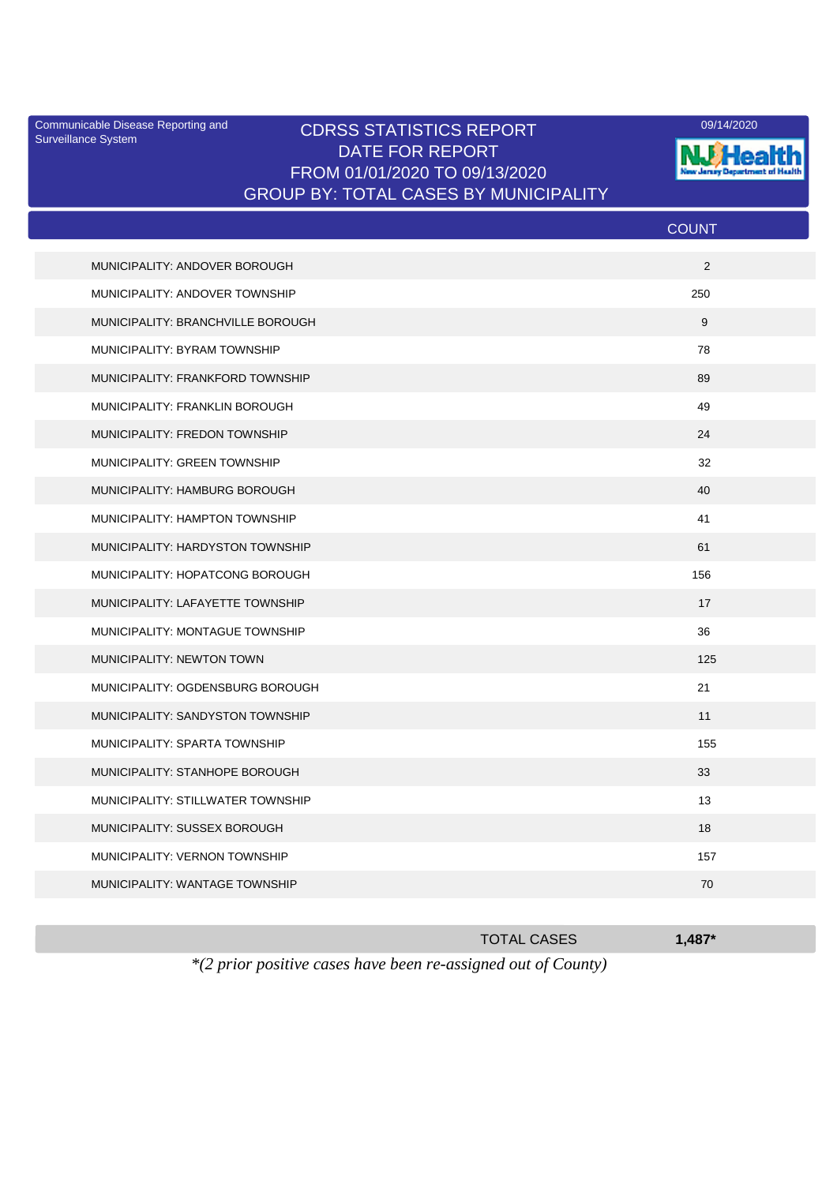Surveillance System

## Communicable Disease Reporting and CDRSS STATISTICS REPORT 09/14/2020<br>Surveillance System CDRSS STATISTICS REPORT DATE FOR REPORT FROM 01/01/2020 TO 09/13/2020 GROUP BY: TOTAL CASES BY MUNICIPALITY



|                                   | <b>COUNT</b> |
|-----------------------------------|--------------|
| MUNICIPALITY: ANDOVER BOROUGH     | 2            |
| MUNICIPALITY: ANDOVER TOWNSHIP    | 250          |
| MUNICIPALITY: BRANCHVILLE BOROUGH | 9            |
| MUNICIPALITY: BYRAM TOWNSHIP      | 78           |
| MUNICIPALITY: FRANKFORD TOWNSHIP  | 89           |
| MUNICIPALITY: FRANKLIN BOROUGH    | 49           |
| MUNICIPALITY: FREDON TOWNSHIP     | 24           |
| MUNICIPALITY: GREEN TOWNSHIP      | 32           |
| MUNICIPALITY: HAMBURG BOROUGH     | 40           |
| MUNICIPALITY: HAMPTON TOWNSHIP    | 41           |
| MUNICIPALITY: HARDYSTON TOWNSHIP  | 61           |
| MUNICIPALITY: HOPATCONG BOROUGH   | 156          |
| MUNICIPALITY: LAFAYETTE TOWNSHIP  | 17           |
| MUNICIPALITY: MONTAGUE TOWNSHIP   | 36           |
| MUNICIPALITY: NEWTON TOWN         | 125          |
| MUNICIPALITY: OGDENSBURG BOROUGH  | 21           |
| MUNICIPALITY: SANDYSTON TOWNSHIP  | 11           |
| MUNICIPALITY: SPARTA TOWNSHIP     | 155          |
| MUNICIPALITY: STANHOPE BOROUGH    | 33           |
| MUNICIPALITY: STILLWATER TOWNSHIP | 13           |
| MUNICIPALITY: SUSSEX BOROUGH      | 18           |
| MUNICIPALITY: VERNON TOWNSHIP     | 157          |
| MUNICIPALITY: WANTAGE TOWNSHIP    | 70           |
|                                   |              |

|                                                                         | <b>TOTAL CASES</b> | $1.487*$ |
|-------------------------------------------------------------------------|--------------------|----------|
| $*(2 \text{ prior positive cases have been re-assigned out of County})$ |                    |          |